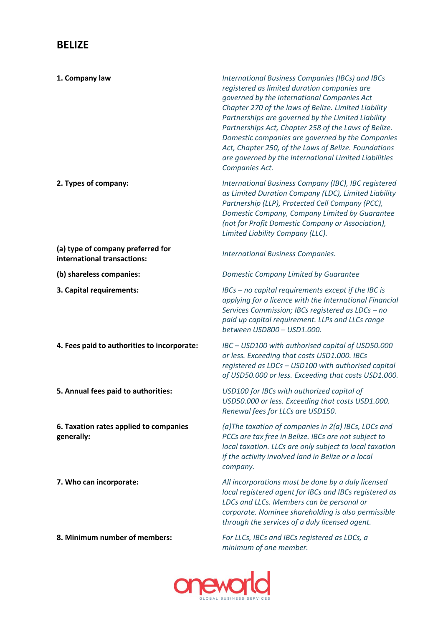## **BELIZE**

| 1. Company law                                                   | International Business Companies (IBCs) and IBCs<br>registered as limited duration companies are<br>governed by the International Companies Act<br>Chapter 270 of the laws of Belize. Limited Liability<br>Partnerships are governed by the Limited Liability<br>Partnerships Act, Chapter 258 of the Laws of Belize.<br>Domestic companies are governed by the Companies<br>Act, Chapter 250, of the Laws of Belize. Foundations<br>are governed by the International Limited Liabilities<br>Companies Act. |
|------------------------------------------------------------------|--------------------------------------------------------------------------------------------------------------------------------------------------------------------------------------------------------------------------------------------------------------------------------------------------------------------------------------------------------------------------------------------------------------------------------------------------------------------------------------------------------------|
| 2. Types of company:                                             | International Business Company (IBC), IBC registered<br>as Limited Duration Company (LDC), Limited Liability<br>Partnership (LLP), Protected Cell Company (PCC),<br>Domestic Company, Company Limited by Guarantee<br>(not for Profit Domestic Company or Association),<br>Limited Liability Company (LLC).                                                                                                                                                                                                  |
| (a) type of company preferred for<br>international transactions: | <b>International Business Companies.</b>                                                                                                                                                                                                                                                                                                                                                                                                                                                                     |
| (b) shareless companies:                                         | Domestic Company Limited by Guarantee                                                                                                                                                                                                                                                                                                                                                                                                                                                                        |
| 3. Capital requirements:                                         | $\text{IBCs}$ – no capital requirements except if the IBC is<br>applying for a licence with the International Financial<br>Services Commission; IBCs registered as LDCs - no<br>paid up capital requirement. LLPs and LLCs range<br>between USD800 - USD1.000.                                                                                                                                                                                                                                               |
| 4. Fees paid to authorities to incorporate:                      | IBC - USD100 with authorised capital of USD50.000<br>or less. Exceeding that costs USD1.000. IBCs<br>registered as LDCs - USD100 with authorised capital<br>of USD50.000 or less. Exceeding that costs USD1.000.                                                                                                                                                                                                                                                                                             |
| 5. Annual fees paid to authorities:                              | USD100 for IBCs with authorized capital of<br>USD50.000 or less. Exceeding that costs USD1.000.<br>Renewal fees for LLCs are USD150.                                                                                                                                                                                                                                                                                                                                                                         |
| 6. Taxation rates applied to companies<br>generally:             | (a) The taxation of companies in 2(a) IBCs, LDCs and<br>PCCs are tax free in Belize. IBCs are not subject to<br>local taxation. LLCs are only subject to local taxation<br>if the activity involved land in Belize or a local<br>company.                                                                                                                                                                                                                                                                    |
| 7. Who can incorporate:                                          | All incorporations must be done by a duly licensed<br>local registered agent for IBCs and IBCs registered as<br>LDCs and LLCs. Members can be personal or<br>corporate. Nominee shareholding is also permissible<br>through the services of a duly licensed agent.                                                                                                                                                                                                                                           |
| 8. Minimum number of members:                                    | For LLCs, IBCs and IBCs registered as LDCs, a<br>minimum of one member.                                                                                                                                                                                                                                                                                                                                                                                                                                      |